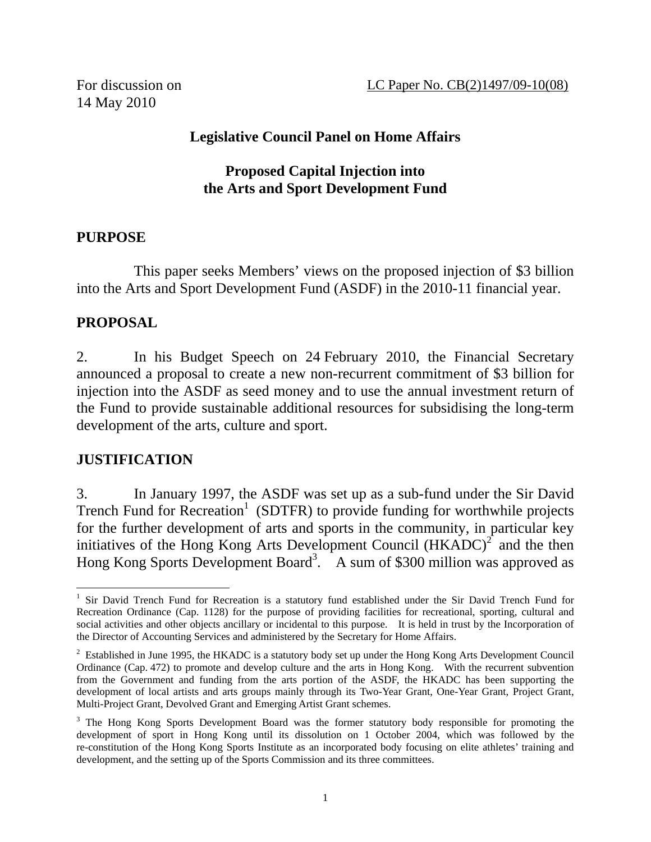For discussion on 14 May 2010

# **Legislative Council Panel on Home Affairs**

#### **Proposed Capital Injection into the Arts and Sport Development Fund**

#### **PURPOSE**

 This paper seeks Members' views on the proposed injection of \$3 billion into the Arts and Sport Development Fund (ASDF) in the 2010-11 financial year.

## **PROPOSAL**

2. In his Budget Speech on 24 February 2010, the Financial Secretary announced a proposal to create a new non-recurrent commitment of \$3 billion for injection into the ASDF as seed money and to use the annual investment return of the Fund to provide sustainable additional resources for subsidising the long-term development of the arts, culture and sport.

## **JUSTIFICATION**

3. In January 1997, the ASDF was set up as a sub-fund under the Sir David Trench Fund for Recreation<sup>1</sup> (SDTFR) to provide funding for worthwhile projects for the further development of arts and sports in the community, in particular key initiatives of the Hong Kong Arts Development Council  $(HKADC)^2$  and the then Hong Kong Sports Development Board<sup>3</sup>. A sum of \$300 million was approved as

 $\overline{a}$ <sup>1</sup> Sir David Trench Fund for Recreation is a statutory fund established under the Sir David Trench Fund for Recreation Ordinance (Cap. 1128) for the purpose of providing facilities for recreational, sporting, cultural and social activities and other objects ancillary or incidental to this purpose. It is held in trust by the Incorporation of the Director of Accounting Services and administered by the Secretary for Home Affairs.

<sup>&</sup>lt;sup>2</sup> Established in June 1995, the HKADC is a statutory body set up under the Hong Kong Arts Development Council Ordinance (Cap. 472) to promote and develop culture and the arts in Hong Kong. With the recurrent subvention from the Government and funding from the arts portion of the ASDF, the HKADC has been supporting the development of local artists and arts groups mainly through its Two-Year Grant, One-Year Grant, Project Grant, Multi-Project Grant, Devolved Grant and Emerging Artist Grant schemes.

<sup>&</sup>lt;sup>3</sup> The Hong Kong Sports Development Board was the former statutory body responsible for promoting the development of sport in Hong Kong until its dissolution on 1 October 2004, which was followed by the re-constitution of the Hong Kong Sports Institute as an incorporated body focusing on elite athletes' training and development, and the setting up of the Sports Commission and its three committees.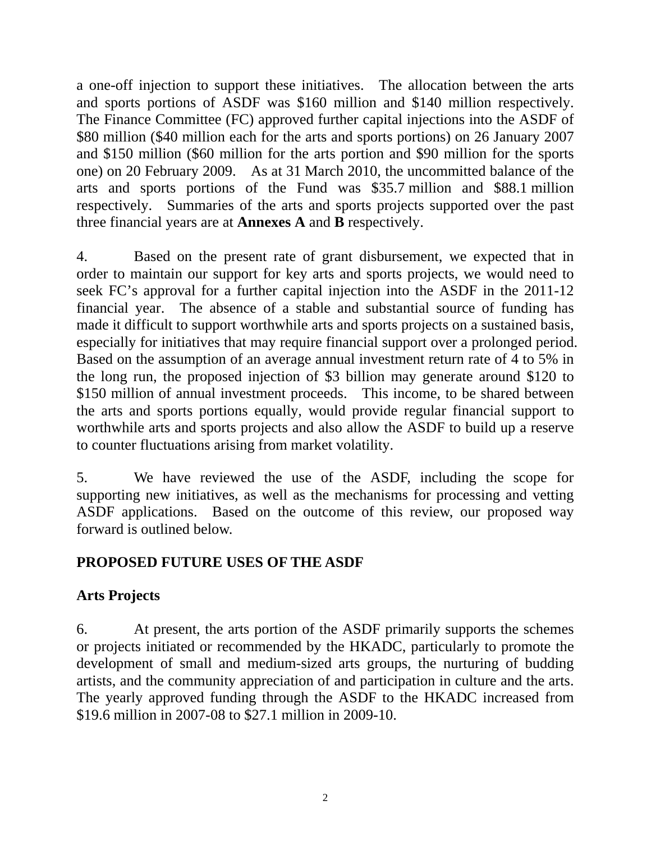a one-off injection to support these initiatives. The allocation between the arts and sports portions of ASDF was \$160 million and \$140 million respectively. The Finance Committee (FC) approved further capital injections into the ASDF of \$80 million (\$40 million each for the arts and sports portions) on 26 January 2007 and \$150 million (\$60 million for the arts portion and \$90 million for the sports one) on 20 February 2009. As at 31 March 2010, the uncommitted balance of the arts and sports portions of the Fund was \$35.7 million and \$88.1 million respectively. Summaries of the arts and sports projects supported over the past three financial years are at **Annexes A** and **B** respectively.

4. Based on the present rate of grant disbursement, we expected that in order to maintain our support for key arts and sports projects, we would need to seek FC's approval for a further capital injection into the ASDF in the 2011-12 financial year. The absence of a stable and substantial source of funding has made it difficult to support worthwhile arts and sports projects on a sustained basis, especially for initiatives that may require financial support over a prolonged period. Based on the assumption of an average annual investment return rate of 4 to 5% in the long run, the proposed injection of \$3 billion may generate around \$120 to \$150 million of annual investment proceeds. This income, to be shared between the arts and sports portions equally, would provide regular financial support to worthwhile arts and sports projects and also allow the ASDF to build up a reserve to counter fluctuations arising from market volatility.

5. We have reviewed the use of the ASDF, including the scope for supporting new initiatives, as well as the mechanisms for processing and vetting ASDF applications. Based on the outcome of this review, our proposed way forward is outlined below.

## **PROPOSED FUTURE USES OF THE ASDF**

## **Arts Projects**

6. At present, the arts portion of the ASDF primarily supports the schemes or projects initiated or recommended by the HKADC, particularly to promote the development of small and medium-sized arts groups, the nurturing of budding artists, and the community appreciation of and participation in culture and the arts. The yearly approved funding through the ASDF to the HKADC increased from \$19.6 million in 2007-08 to \$27.1 million in 2009-10.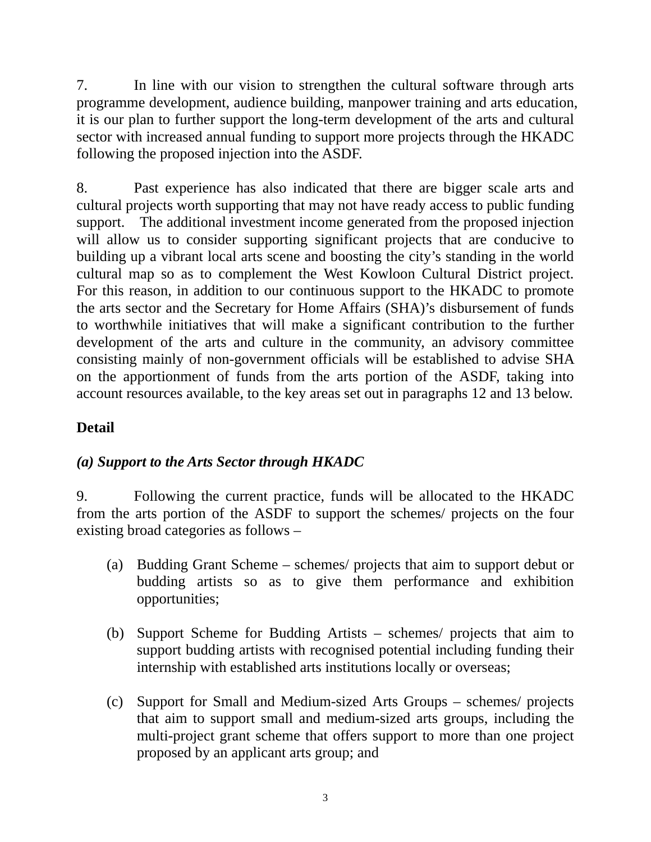7. In line with our vision to strengthen the cultural software through arts programme development, audience building, manpower training and arts education, it is our plan to further support the long-term development of the arts and cultural sector with increased annual funding to support more projects through the HKADC following the proposed injection into the ASDF.

8. Past experience has also indicated that there are bigger scale arts and cultural projects worth supporting that may not have ready access to public funding support. The additional investment income generated from the proposed injection will allow us to consider supporting significant projects that are conducive to building up a vibrant local arts scene and boosting the city's standing in the world cultural map so as to complement the West Kowloon Cultural District project. For this reason, in addition to our continuous support to the HKADC to promote the arts sector and the Secretary for Home Affairs (SHA)'s disbursement of funds to worthwhile initiatives that will make a significant contribution to the further development of the arts and culture in the community, an advisory committee consisting mainly of non-government officials will be established to advise SHA on the apportionment of funds from the arts portion of the ASDF, taking into account resources available, to the key areas set out in paragraphs 12 and 13 below.

# **Detail**

## *(a) Support to the Arts Sector through HKADC*

9. Following the current practice, funds will be allocated to the HKADC from the arts portion of the ASDF to support the schemes/ projects on the four existing broad categories as follows –

- (a) Budding Grant Scheme schemes/ projects that aim to support debut or budding artists so as to give them performance and exhibition opportunities;
- (b) Support Scheme for Budding Artists schemes/ projects that aim to support budding artists with recognised potential including funding their internship with established arts institutions locally or overseas;
- (c) Support for Small and Medium-sized Arts Groups schemes/ projects that aim to support small and medium-sized arts groups, including the multi-project grant scheme that offers support to more than one project proposed by an applicant arts group; and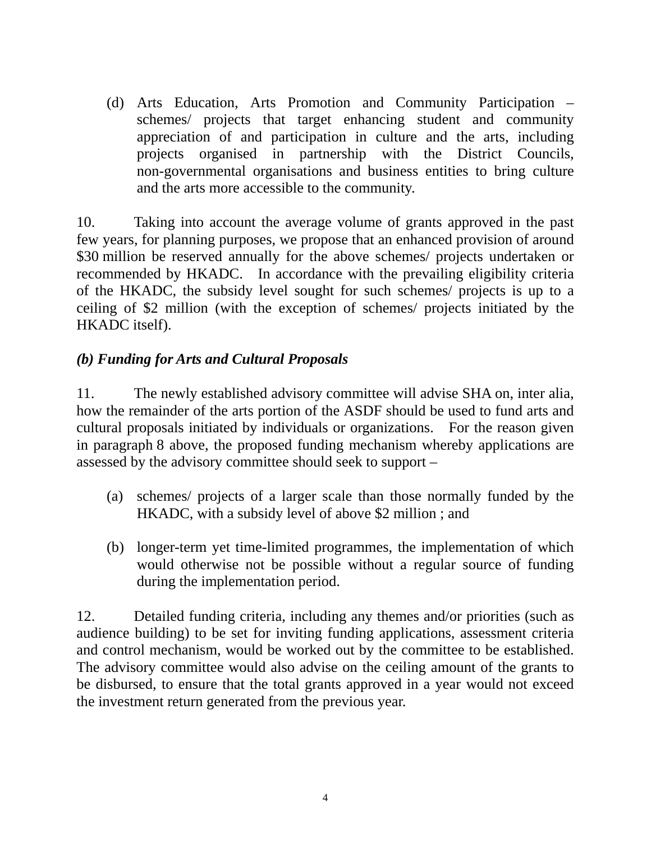(d) Arts Education, Arts Promotion and Community Participation – schemes/ projects that target enhancing student and community appreciation of and participation in culture and the arts, including projects organised in partnership with the District Councils, non-governmental organisations and business entities to bring culture and the arts more accessible to the community.

10. Taking into account the average volume of grants approved in the past few years, for planning purposes, we propose that an enhanced provision of around \$30 million be reserved annually for the above schemes/ projects undertaken or recommended by HKADC. In accordance with the prevailing eligibility criteria of the HKADC, the subsidy level sought for such schemes/ projects is up to a ceiling of \$2 million (with the exception of schemes/ projects initiated by the HKADC itself).

## *(b) Funding for Arts and Cultural Proposals*

11. The newly established advisory committee will advise SHA on, inter alia, how the remainder of the arts portion of the ASDF should be used to fund arts and cultural proposals initiated by individuals or organizations. For the reason given in paragraph 8 above, the proposed funding mechanism whereby applications are assessed by the advisory committee should seek to support –

- (a) schemes/ projects of a larger scale than those normally funded by the HKADC, with a subsidy level of above \$2 million ; and
- (b) longer-term yet time-limited programmes, the implementation of which would otherwise not be possible without a regular source of funding during the implementation period.

12. Detailed funding criteria, including any themes and/or priorities (such as audience building) to be set for inviting funding applications, assessment criteria and control mechanism, would be worked out by the committee to be established. The advisory committee would also advise on the ceiling amount of the grants to be disbursed, to ensure that the total grants approved in a year would not exceed the investment return generated from the previous year.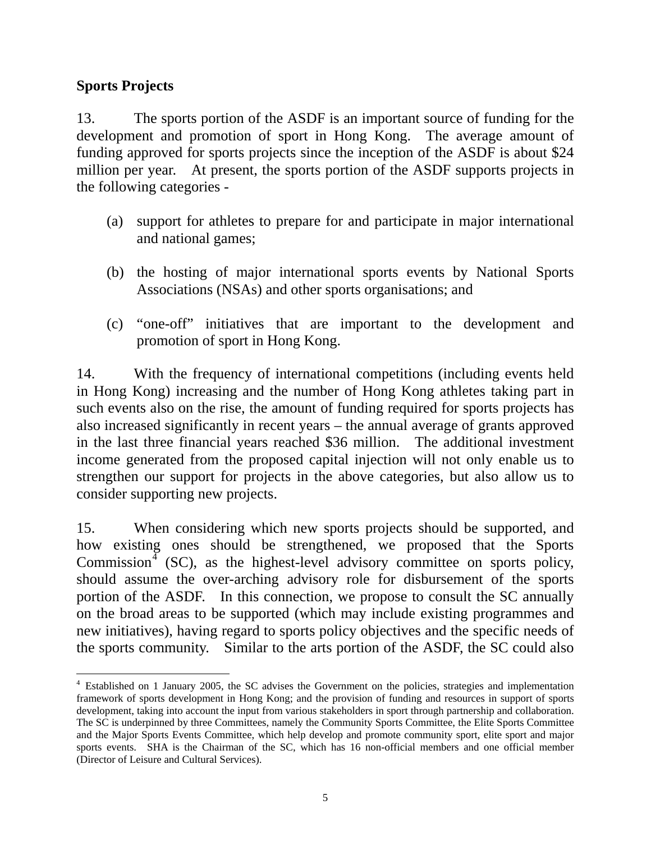#### **Sports Projects**

13. The sports portion of the ASDF is an important source of funding for the development and promotion of sport in Hong Kong. The average amount of funding approved for sports projects since the inception of the ASDF is about \$24 million per year. At present, the sports portion of the ASDF supports projects in the following categories -

- (a) support for athletes to prepare for and participate in major international and national games;
- (b) the hosting of major international sports events by National Sports Associations (NSAs) and other sports organisations; and
- (c) "one-off" initiatives that are important to the development and promotion of sport in Hong Kong.

14. With the frequency of international competitions (including events held in Hong Kong) increasing and the number of Hong Kong athletes taking part in such events also on the rise, the amount of funding required for sports projects has also increased significantly in recent years – the annual average of grants approved in the last three financial years reached \$36 million. The additional investment income generated from the proposed capital injection will not only enable us to strengthen our support for projects in the above categories, but also allow us to consider supporting new projects.

15. When considering which new sports projects should be supported, and how existing ones should be strengthened, we proposed that the Sports Commission<sup> $\overline{4}$ </sup> (SC), as the highest-level advisory committee on sports policy, should assume the over-arching advisory role for disbursement of the sports portion of the ASDF. In this connection, we propose to consult the SC annually on the broad areas to be supported (which may include existing programmes and new initiatives), having regard to sports policy objectives and the specific needs of the sports community. Similar to the arts portion of the ASDF, the SC could also

 $\overline{a}$ <sup>4</sup> Established on 1 January 2005, the SC advises the Government on the policies, strategies and implementation framework of sports development in Hong Kong; and the provision of funding and resources in support of sports development, taking into account the input from various stakeholders in sport through partnership and collaboration. The SC is underpinned by three Committees, namely the Community Sports Committee, the Elite Sports Committee and the Major Sports Events Committee, which help develop and promote community sport, elite sport and major sports events. SHA is the Chairman of the SC, which has 16 non-official members and one official member (Director of Leisure and Cultural Services).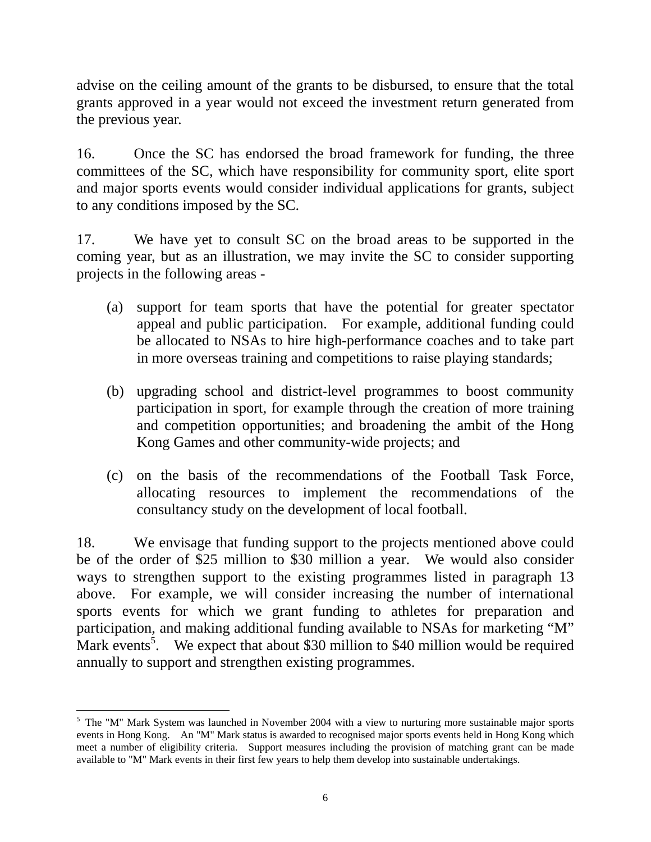advise on the ceiling amount of the grants to be disbursed, to ensure that the total grants approved in a year would not exceed the investment return generated from the previous year.

16. Once the SC has endorsed the broad framework for funding, the three committees of the SC, which have responsibility for community sport, elite sport and major sports events would consider individual applications for grants, subject to any conditions imposed by the SC.

17. We have yet to consult SC on the broad areas to be supported in the coming year, but as an illustration, we may invite the SC to consider supporting projects in the following areas -

- (a) support for team sports that have the potential for greater spectator appeal and public participation. For example, additional funding could be allocated to NSAs to hire high-performance coaches and to take part in more overseas training and competitions to raise playing standards;
- (b) upgrading school and district-level programmes to boost community participation in sport, for example through the creation of more training and competition opportunities; and broadening the ambit of the Hong Kong Games and other community-wide projects; and
- (c) on the basis of the recommendations of the Football Task Force, allocating resources to implement the recommendations of the consultancy study on the development of local football.

18. We envisage that funding support to the projects mentioned above could be of the order of \$25 million to \$30 million a year. We would also consider ways to strengthen support to the existing programmes listed in paragraph 13 above. For example, we will consider increasing the number of international sports events for which we grant funding to athletes for preparation and participation, and making additional funding available to NSAs for marketing "M" Mark events<sup>5</sup>. We expect that about \$30 million to \$40 million would be required annually to support and strengthen existing programmes.

<sup>&</sup>lt;sup>5</sup> The "M" Mark System was launched in November 2004 with a view to nurturing more sustainable major sports events in Hong Kong. An "M" Mark status is awarded to recognised major sports events held in Hong Kong which meet a number of eligibility criteria. Support measures including the provision of matching grant can be made available to "M" Mark events in their first few years to help them develop into sustainable undertakings.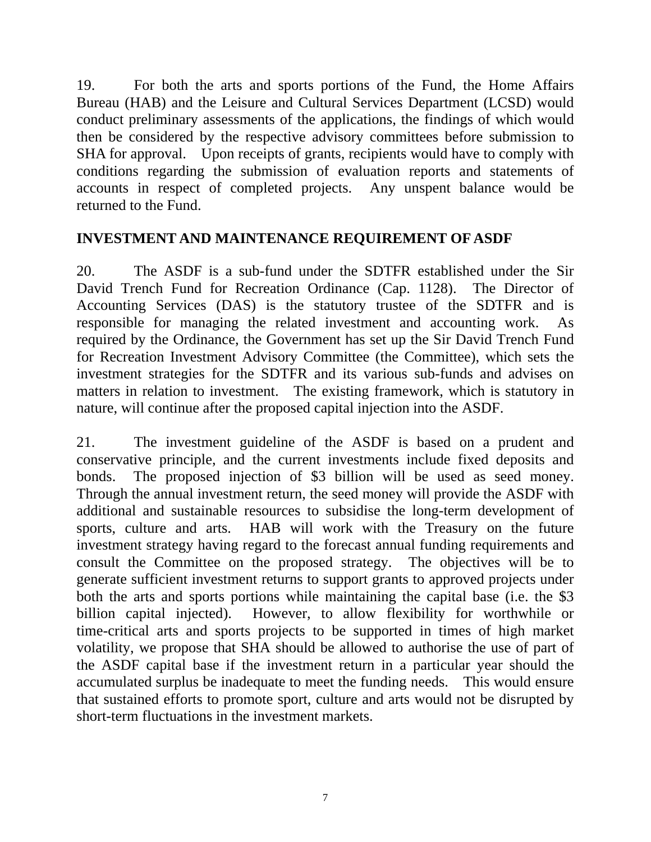19. For both the arts and sports portions of the Fund, the Home Affairs Bureau (HAB) and the Leisure and Cultural Services Department (LCSD) would conduct preliminary assessments of the applications, the findings of which would then be considered by the respective advisory committees before submission to SHA for approval. Upon receipts of grants, recipients would have to comply with conditions regarding the submission of evaluation reports and statements of accounts in respect of completed projects. Any unspent balance would be returned to the Fund.

#### **INVESTMENT AND MAINTENANCE REQUIREMENT OF ASDF**

20. The ASDF is a sub-fund under the SDTFR established under the Sir David Trench Fund for Recreation Ordinance (Cap. 1128). The Director of Accounting Services (DAS) is the statutory trustee of the SDTFR and is responsible for managing the related investment and accounting work. As required by the Ordinance, the Government has set up the Sir David Trench Fund for Recreation Investment Advisory Committee (the Committee), which sets the investment strategies for the SDTFR and its various sub-funds and advises on matters in relation to investment. The existing framework, which is statutory in nature, will continue after the proposed capital injection into the ASDF.

21. The investment guideline of the ASDF is based on a prudent and conservative principle, and the current investments include fixed deposits and bonds. The proposed injection of \$3 billion will be used as seed money. Through the annual investment return, the seed money will provide the ASDF with additional and sustainable resources to subsidise the long-term development of sports, culture and arts. HAB will work with the Treasury on the future investment strategy having regard to the forecast annual funding requirements and consult the Committee on the proposed strategy. The objectives will be to generate sufficient investment returns to support grants to approved projects under both the arts and sports portions while maintaining the capital base (i.e. the \$3 billion capital injected). However, to allow flexibility for worthwhile or time-critical arts and sports projects to be supported in times of high market volatility, we propose that SHA should be allowed to authorise the use of part of the ASDF capital base if the investment return in a particular year should the accumulated surplus be inadequate to meet the funding needs. This would ensure that sustained efforts to promote sport, culture and arts would not be disrupted by short-term fluctuations in the investment markets.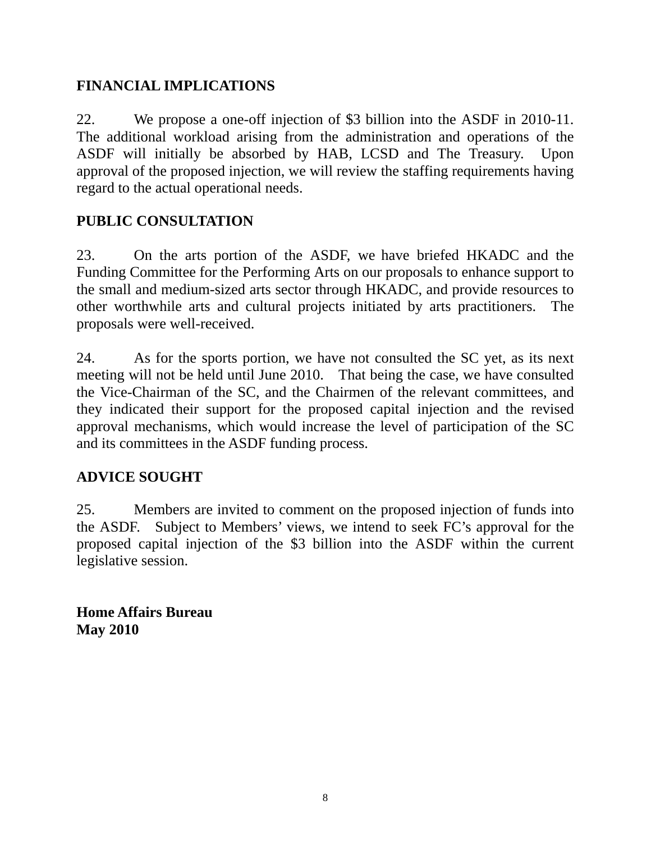#### **FINANCIAL IMPLICATIONS**

22. We propose a one-off injection of \$3 billion into the ASDF in 2010-11. The additional workload arising from the administration and operations of the ASDF will initially be absorbed by HAB, LCSD and The Treasury. Upon approval of the proposed injection, we will review the staffing requirements having regard to the actual operational needs.

# **PUBLIC CONSULTATION**

23. On the arts portion of the ASDF, we have briefed HKADC and the Funding Committee for the Performing Arts on our proposals to enhance support to the small and medium-sized arts sector through HKADC, and provide resources to other worthwhile arts and cultural projects initiated by arts practitioners. The proposals were well-received.

24. As for the sports portion, we have not consulted the SC yet, as its next meeting will not be held until June 2010. That being the case, we have consulted the Vice-Chairman of the SC, and the Chairmen of the relevant committees, and they indicated their support for the proposed capital injection and the revised approval mechanisms, which would increase the level of participation of the SC and its committees in the ASDF funding process.

#### **ADVICE SOUGHT**

25. Members are invited to comment on the proposed injection of funds into the ASDF. Subject to Members' views, we intend to seek FC's approval for the proposed capital injection of the \$3 billion into the ASDF within the current legislative session.

**Home Affairs Bureau May 2010**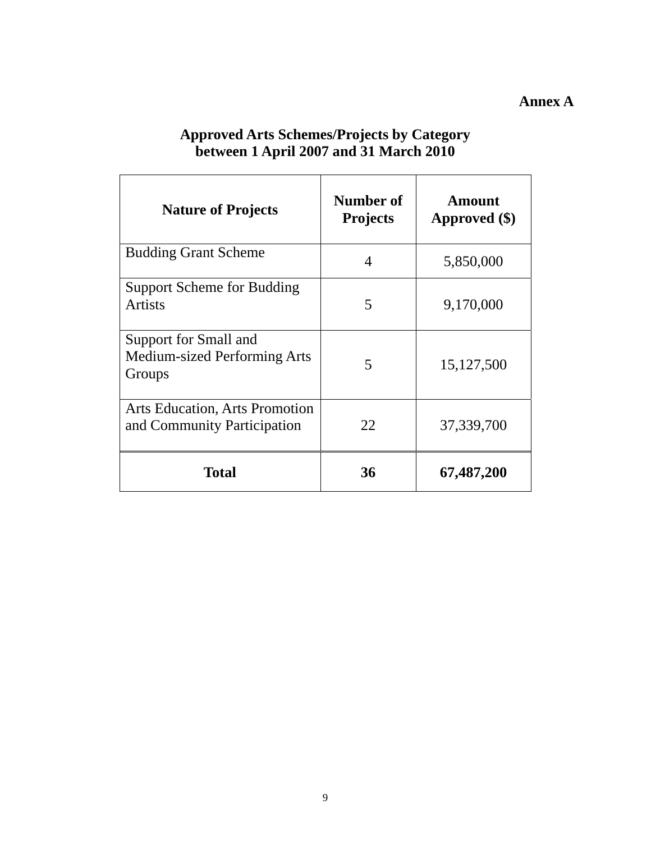#### **Annex A**

| <b>Nature of Projects</b>                                            | Number of<br><b>Projects</b> | Amount<br>Approved (\$) |
|----------------------------------------------------------------------|------------------------------|-------------------------|
| <b>Budding Grant Scheme</b>                                          | 4                            | 5,850,000               |
| <b>Support Scheme for Budding</b><br><b>Artists</b>                  | 5                            | 9,170,000               |
| Support for Small and<br>Medium-sized Performing Arts<br>Groups      | 5                            | 15,127,500              |
| <b>Arts Education, Arts Promotion</b><br>and Community Participation | 22                           | 37,339,700              |
| <b>Total</b>                                                         | 36                           | 67,487,200              |

#### **Approved Arts Schemes/Projects by Category between 1 April 2007 and 31 March 2010**